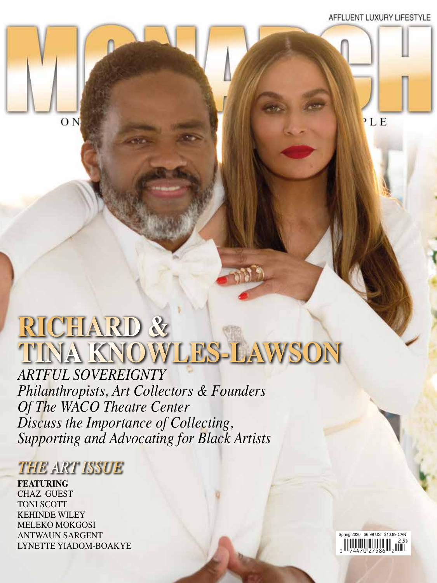$PLE$ 



# **RICHARD & TINA KNOWLES-LAWSON**

*ARTFUL SOVEREIGNTY Philanthropists, Art Collectors & Founders Of The WACO Theatre Center Discuss the Importance of Collecting, Supporting and Advocating for Black Artists*

### *THE ART ISSUE*

**FEATURING** CHAZ GUEST TONI SCOTT KEHINDE WILEY MELEKO MOKGOSI ANTWAUN SARGENT LYNETTE YIADOM-BOAKYE

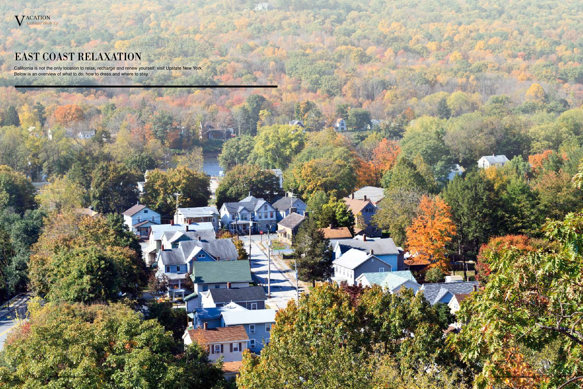

## EAST COAST RELAXATION

California is not the only location to relax, recharge and renew yourself; visit Upstate New York. Below is an overview of what to do, how to dress and where to stay.

 $r - 1 + 1$ 

 $\mathbf{L}$  and